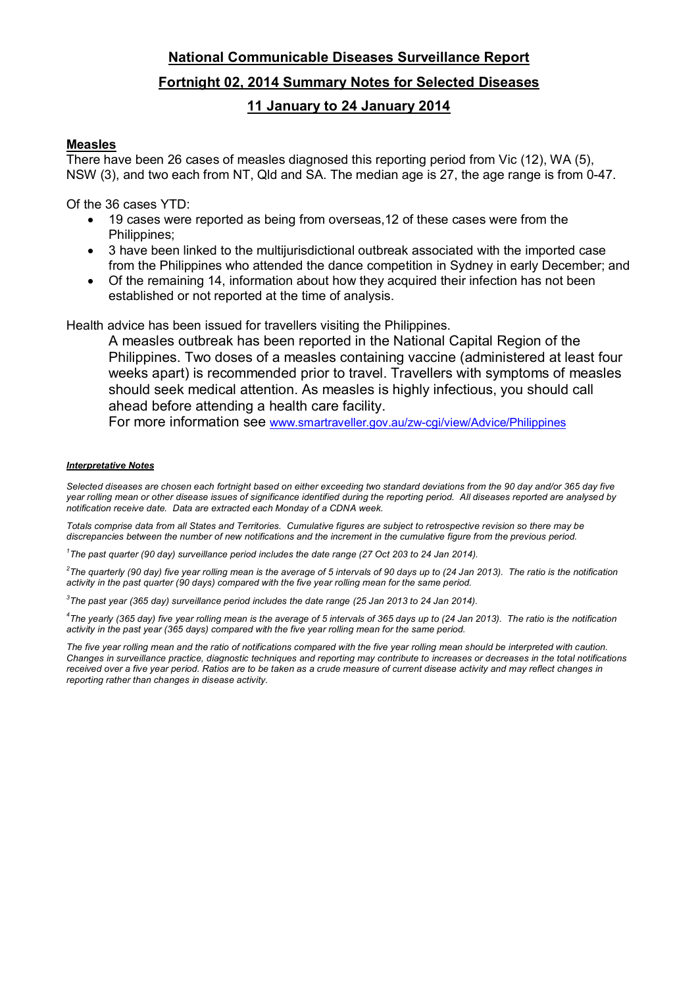# **National Communicable Diseases Surveillance Report Fortnight 02, 2014 Summary Notes for Selected Diseases 11 January to 24 January 2014**

## **Measles**

There have been 26 cases of measles diagnosed this reporting period from Vic (12), WA (5), NSW (3), and two each from NT, Qld and SA. The median age is 27, the age range is from 0-47.

Of the 36 cases YTD:

- 19 cases were reported as being from overseas,12 of these cases were from the Philippines;
- 3 have been linked to the multijurisdictional outbreak associated with the imported case from the Philippines who attended the dance competition in Sydney in early December; and
- Of the remaining 14, information about how they acquired their infection has not been established or not reported at the time of analysis.

Health advice has been issued for travellers visiting the Philippines.

A measles outbreak has been reported in the National Capital Region of the Philippines. Two doses of a measles containing vaccine (administered at least four weeks apart) is recommended prior to travel. Travellers with symptoms of measles should seek medical attention. As measles is highly infectious, you should call ahead before attending a health care facility.

For more information see www.smartraveller.gov.au/zw-cgi/view/Advice/Philippines

### *Interpretative Notes*

*Selected diseases are chosen each fortnight based on either exceeding two standard deviations from the 90 day and/or 365 day five year rolling mean or other disease issues of significance identified during the reporting period. All diseases reported are analysed by notification receive date. Data are extracted each Monday of a CDNA week.* 

*Totals comprise data from all States and Territories. Cumulative figures are subject to retrospective revision so there may be discrepancies between the number of new notifications and the increment in the cumulative figure from the previous period.* 

<sup>1</sup>The past quarter (90 day) surveillance period includes the date range (27 Oct 203 to 24 Jan 2014).

*2 The quarterly (90 day) five year rolling mean is the average of 5 intervals of 90 days up to (24 Jan 2013). The ratio is the notification activity in the past quarter (90 days) compared with the five year rolling mean for the same period.* 

*3 The past year (365 day) surveillance period includes the date range (25 Jan 2013 to 24 Jan 2014).* 

*4 The yearly (365 day) five year rolling mean is the average of 5 intervals of 365 days up to (24 Jan 2013). The ratio is the notification activity in the past year (365 days) compared with the five year rolling mean for the same period.* 

The five year rolling mean and the ratio of notifications compared with the five year rolling mean should be interpreted with caution. *Changes in surveillance practice, diagnostic techniques and reporting may contribute to increases or decreases in the total notifications received over a five year period. Ratios are to be taken as a crude measure of current disease activity and may reflect changes in reporting rather than changes in disease activity.*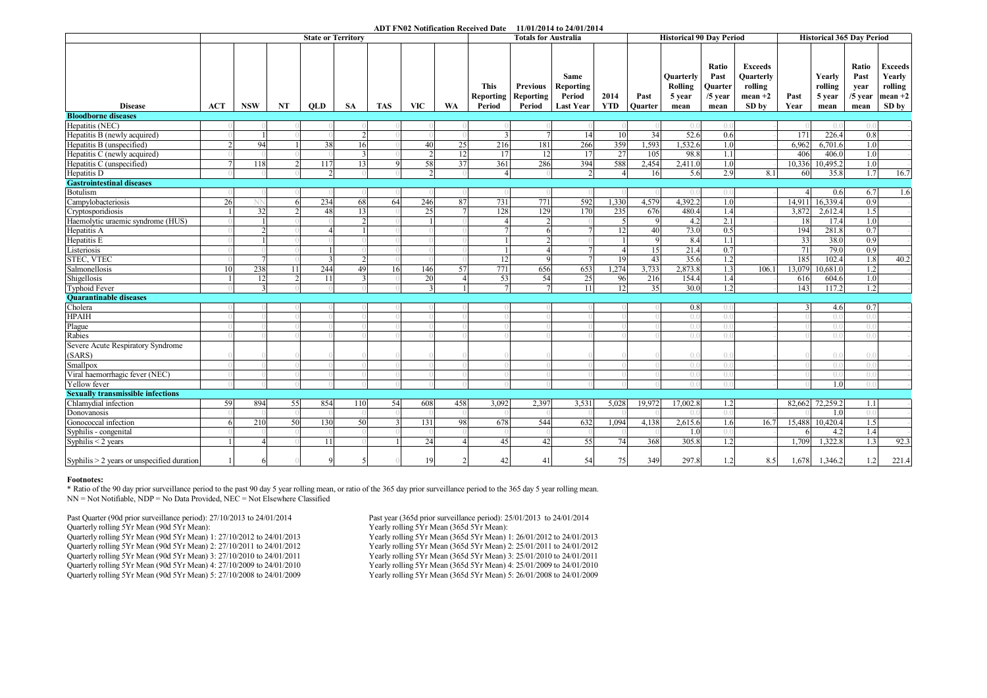#### **ADT FN02 Notification Received Date 11/01/2014 to 24/01/2014**

|                                              | <b>State or Territory</b> |                           |    |                |               |            |            |     |                             | <b>Totals for Australia</b>                   |                                                 |                    |                        | <b>Historical 90 Day Period</b>        | <b>Historical 365 Day Period</b>              |                                                              |              |                                     |                                            |                                                           |
|----------------------------------------------|---------------------------|---------------------------|----|----------------|---------------|------------|------------|-----|-----------------------------|-----------------------------------------------|-------------------------------------------------|--------------------|------------------------|----------------------------------------|-----------------------------------------------|--------------------------------------------------------------|--------------|-------------------------------------|--------------------------------------------|-----------------------------------------------------------|
| <b>Disease</b>                               | ACT                       | <b>NSW</b>                | NT | <b>OLD</b>     | <b>SA</b>     | <b>TAS</b> | <b>VIC</b> | WA  | This<br>Reporting<br>Period | <b>Previous</b><br><b>Reporting</b><br>Period | Same<br>Reporting<br>Period<br><b>Last Year</b> | 2014<br><b>YTD</b> | Past<br><b>Ouarter</b> | Quarterly<br>Rolling<br>5 year<br>mean | Ratio<br>Past<br>Quarter<br>$/5$ year<br>mean | <b>Exceeds</b><br>Quarterly<br>rolling<br>$mean +2$<br>SD by | Past<br>Year | Yearly<br>rolling<br>5 year<br>mean | Ratio<br>Past<br>year<br>$/5$ year<br>mean | <b>Exceeds</b><br>Yearly<br>rolling<br>$mean +2$<br>SD by |
| <b>Bloodborne diseases</b>                   |                           |                           |    |                |               |            |            |     |                             |                                               |                                                 |                    |                        |                                        |                                               |                                                              |              |                                     |                                            |                                                           |
| Hepatitis (NEC)                              |                           |                           |    |                |               |            |            |     |                             |                                               |                                                 |                    |                        | ( ) (                                  | ()                                            |                                                              |              | ()                                  | $\Omega$                                   |                                                           |
| Hepatitis B (newly acquired)                 |                           |                           |    |                | $\mathcal{L}$ |            |            |     |                             |                                               | 14                                              | 10                 | 34                     | 52.6                                   | 0.6                                           |                                                              | 171          | 226.4                               | 0.8                                        |                                                           |
| Hepatitis B (unspecified)                    |                           | 94                        |    | 38             | <sup>16</sup> |            | 40         | 25  | 216                         | 181                                           | 266                                             | 359                | 1,593                  | 1,532.6                                | 1.0                                           |                                                              | 6,962        | 6,701.6                             | 1.0                                        |                                                           |
| Hepatitis C (newly acquired)                 |                           |                           |    |                |               |            |            | 12  | 17                          | 12                                            | 17                                              | 27                 | 105                    | 98.8                                   | 1.1                                           |                                                              | 406          | 406.0                               | 1.0                                        |                                                           |
| Hepatitis C (unspecified)                    |                           | 118                       |    | 117            | 13            | $\Omega$   | 58         | 37  | 361                         | 286                                           | 394                                             | 588                | 2,454                  | 2,411.0                                | 1.0                                           |                                                              | 10,336       | 10,495.2                            | 1.0                                        |                                                           |
| Hepatitis D                                  |                           |                           |    | $\overline{2}$ |               |            |            |     | 4                           |                                               |                                                 | $\overline{4}$     | 16                     | 5.6                                    | 2.9                                           | 8.1                                                          | 60           | 35.8                                | 1.7                                        | 16.7                                                      |
| <b>Gastrointestinal diseases</b>             |                           |                           |    |                |               |            |            |     |                             |                                               |                                                 |                    |                        |                                        |                                               |                                                              |              |                                     |                                            |                                                           |
| <b>Botulism</b>                              |                           |                           |    |                |               |            |            |     |                             |                                               |                                                 |                    |                        | ()                                     | 0.0                                           |                                                              |              | 0.6                                 | 6.7                                        | 1.6                                                       |
| Campylobacteriosis                           | 26                        |                           |    | 234            | 68            | 64         | 246        | 87  | 731                         | 771                                           | 592                                             | 1,330              | 4,579                  | 4,392.2                                | 1.0                                           |                                                              | 14,911       | 16,339.4                            | 0.9                                        |                                                           |
| Cryptosporidiosis                            |                           | 32                        |    | 48             | 13            |            | 25         |     | 128                         | 129                                           | 170                                             | 235                | 676                    | 480.4                                  | 1.4                                           |                                                              | 3,872        | 2,612.4                             | 1.5                                        |                                                           |
| Haemolytic uraemic syndrome (HUS)            |                           |                           |    |                |               |            |            |     |                             |                                               |                                                 |                    |                        | 4.2                                    | 2.1                                           |                                                              | 18           | 17.4                                | 1.0                                        |                                                           |
| Hepatitis A                                  |                           |                           |    |                |               |            |            |     |                             |                                               |                                                 | 12                 | 40                     | 73.0                                   | 0.5                                           |                                                              | 194          | 281.8                               | 0.7                                        |                                                           |
| Hepatitis E                                  |                           |                           |    |                |               |            |            |     |                             |                                               |                                                 |                    | $\mathbf Q$            | 8.4                                    | 1.1                                           |                                                              | 33           | 38.0                                | 0.9                                        |                                                           |
| Listeriosis                                  |                           |                           |    |                |               |            |            |     |                             |                                               |                                                 | $\Delta$           | 15                     | 21.4                                   | 0.7                                           |                                                              | 71           | 79.0                                | 0.9                                        |                                                           |
| <b>STEC, VTEC</b>                            |                           |                           |    | $\mathbf{3}$   | $\mathcal{D}$ |            |            |     | 12                          | $\Omega$                                      |                                                 | 19                 | 43                     | 35.6                                   | 1.2                                           |                                                              | 185          | 102.4                               | 1.8                                        | 40.2                                                      |
| Salmonellosis                                | 10                        | 238                       | 11 | 244            | 49            | 16         | 146        | 57  | 771                         | 656                                           | 653                                             | 1,274              | 3,733                  | 2,873.8                                | 1.3                                           | 106.1                                                        | 13.079       | 10.681.0                            | 1.2                                        |                                                           |
| Shigellosis                                  |                           | 12                        |    | 11             |               |            | 20         |     | 53                          | 54                                            | 25                                              | 96                 | 216                    | 154.4                                  | 1.4                                           |                                                              | 616          | 604.6                               | 1.0                                        |                                                           |
| <b>Typhoid Fever</b>                         |                           |                           |    |                |               |            |            |     | $\tau$                      |                                               | 11                                              | 12                 | 35                     | 30.0                                   | 1.2                                           |                                                              | 143          | 117.2                               | 1.2                                        |                                                           |
| <b>Ouarantinable diseases</b>                |                           |                           |    |                |               |            |            |     |                             |                                               |                                                 |                    |                        |                                        |                                               |                                                              |              |                                     |                                            |                                                           |
| Cholera                                      |                           |                           |    |                |               |            |            |     |                             |                                               |                                                 |                    |                        | 0.8                                    | ( )                                           |                                                              | $\mathbf{3}$ | 4.6                                 | 0.7                                        |                                                           |
| <b>HPAIH</b>                                 |                           |                           |    |                |               |            |            |     |                             |                                               |                                                 |                    |                        | $\theta$ .                             | $($ .                                         |                                                              |              | 0.(                                 | $\theta$ .                                 |                                                           |
| Plague                                       |                           |                           |    |                |               |            |            |     |                             |                                               |                                                 |                    |                        | ()                                     | $\bigcap$                                     |                                                              |              | ( )                                 | ()()                                       |                                                           |
| Rabies                                       |                           |                           |    |                |               |            |            |     |                             |                                               |                                                 |                    |                        | ()()                                   | $\bigcap$                                     |                                                              |              | $\bigcap$                           | ( ) 1                                      |                                                           |
| Severe Acute Respiratory Syndrome            |                           |                           |    |                |               |            |            |     |                             |                                               |                                                 |                    |                        |                                        |                                               |                                                              |              |                                     |                                            |                                                           |
| (SARS)                                       |                           |                           |    |                |               |            |            |     |                             |                                               |                                                 |                    |                        | ()()                                   | $\bigcap$                                     |                                                              |              | $\cap$                              | $\bigcap$                                  |                                                           |
| Smallpox                                     |                           |                           |    |                |               |            |            |     |                             |                                               |                                                 |                    |                        | ( ) (                                  | ()                                            |                                                              |              | $\Omega$                            | $( )$ .                                    |                                                           |
| Viral haemorrhagic fever (NEC)               |                           |                           |    |                |               |            |            |     |                             |                                               |                                                 |                    |                        | ( ) (                                  | ()                                            |                                                              |              | 0.(                                 | ( )                                        |                                                           |
| Yellow fever                                 |                           |                           |    |                |               |            |            |     |                             |                                               |                                                 |                    |                        | ()()                                   | $\bigcap$                                     |                                                              |              | 1.0                                 | ()()                                       |                                                           |
| <b>Sexually transmissible infections</b>     |                           |                           |    |                |               |            |            |     |                             |                                               |                                                 |                    |                        |                                        |                                               |                                                              |              |                                     |                                            |                                                           |
| Chlamydial infection                         | 59                        | 894                       | 55 | 854            | 110           | 54         | 608        | 458 | 3,092                       | 2,397                                         | 3,531                                           | 5,028              | 19,972                 | 17,002.8                               | 1.2                                           |                                                              | 82,662       | 72,259.2                            | 1.1                                        |                                                           |
| Donovanosis                                  |                           |                           |    |                |               |            |            |     |                             |                                               |                                                 |                    |                        | ()                                     | ()                                            |                                                              |              | 1.0                                 | 0.(                                        |                                                           |
| Gonococcal infection                         |                           | 210                       | 50 | 130            | 50            |            | 131        | 98  | 678                         | 544                                           | 632                                             | 1,094              | 4,138                  | 2,615.6                                | 1.6                                           | 16.7                                                         | 15,488       | 10,420.4                            | 1.5                                        |                                                           |
| Syphilis - congenital                        |                           |                           |    |                |               |            |            |     |                             |                                               |                                                 |                    |                        | 1.0                                    | $\theta$                                      |                                                              | 6            | 4.2                                 | 1.4                                        |                                                           |
| Syphilis $<$ 2 years                         |                           | $\boldsymbol{\varLambda}$ |    | 11             |               |            | 24         |     | 45                          | 42                                            | 55                                              | 74                 | 368                    | 305.8                                  | 1.2                                           |                                                              | 1,709        | 1,322.8                             | 1.3                                        | 92.3                                                      |
| Syphilis $> 2$ years or unspecified duration |                           | 6                         |    | $\mathbf Q$    |               |            | 19         |     | 42                          | 41                                            | 54                                              | 75                 | 349                    | 297.8                                  | 1.2                                           | 8.5                                                          | 1.678        | 1,346.2                             | 1.2                                        | 221.4                                                     |

#### **Footnotes:**

\* Ratio of the 90 day prior surveillance period to the past 90 day 5 year rolling mean, or ratio of the 365 day prior surveillance period to the 365 day 5 year rolling mean. NN = Not Notifiable, NDP = No Data Provided, NEC = Not Elsewhere Classified

Past Quarter (90d prior surveillance period): 27/10/2013 to 24/01/2014 Past year (365d prior surveillance period): 25/01/2013 to 24/01/2014<br>
Past yearly rolling 5Yr Mean): Yearly rolling 5Yr Mean): Quarterly rolling 5Yr Mean (90d 5Yr Mean):<br>Quarterly rolling 5Yr Mean (90d 5Yr Mean) 1: 27/10/2012 to 24/01/2013 Yearly rolling 5Yr Mean (365d 5Yr Mean) 1: 26/01/2012 to 24/01/2013 Quarterly rolling 5Yr Mean (90d 5Yr Mean) 1: 27/10/2012 to 24/01/2013 Yearly rolling 5Yr Mean (365d 5Yr Mean) 1: 26/01/2012 to 24/01/2013 Quarterly rolling 5Yr Mean (90d 5Yr Mean) 2: 27/10/2011 to 24/01/2012 Yearly rolling 5Yr Mean (365d 5Yr Mean) 2: 25/01/2011 to 24/01/2012 Quarterly rolling 5Yr Mean (90d 5Yr Mean) 3: 27/10/2010 to 24/01/2011 Yearly rolling 5Yr Mean (365d 5Yr Mean) 3: 25/01/2010 to 24/01/2011 Quarterly rolling 5Yr Mean (90d 5Yr Mean) 4: 27/10/2009 to 24/01/2010 Yearly rolling 5Yr Mean (365d 5Yr Mean) 4: 25/01/2009 to 24/01/2010 Quarterly rolling 5Yr Mean (90d 5Yr Mean) 5: 27/10/2008 to 24/01/2009